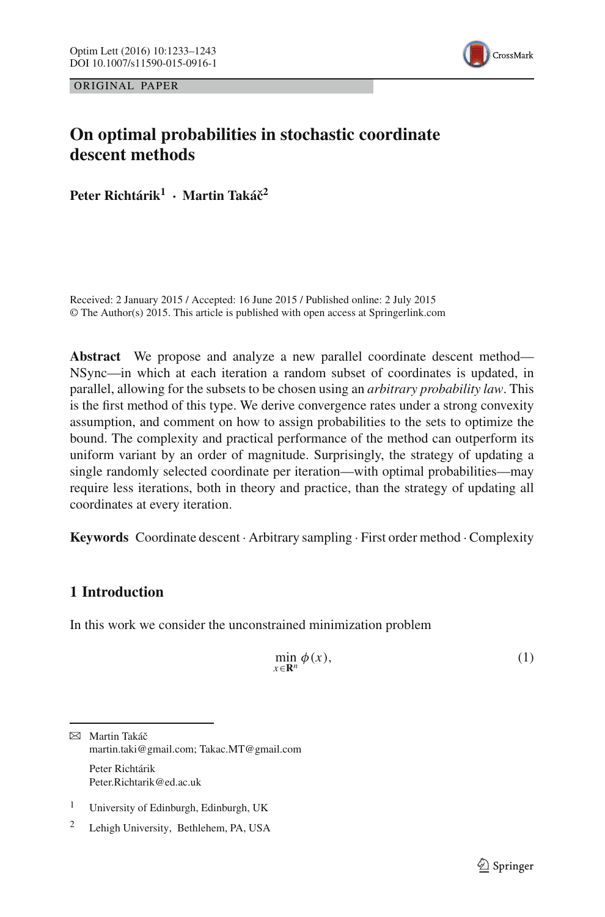



# **On optimal probabilities in stochastic coordinate descent methods**

**Peter Richtárik1 · Martin Takáˇc2**

Received: 2 January 2015 / Accepted: 16 June 2015 / Published online: 2 July 2015 © The Author(s) 2015. This article is published with open access at Springerlink.com

**Abstract** We propose and analyze a new parallel coordinate descent method— NSync—in which at each iteration a random subset of coordinates is updated, in parallel, allowing for the subsets to be chosen using an *arbitrary probability law*. This is the first method of this type. We derive convergence rates under a strong convexity assumption, and comment on how to assign probabilities to the sets to optimize the bound. The complexity and practical performance of the method can outperform its uniform variant by an order of magnitude. Surprisingly, the strategy of updating a single randomly selected coordinate per iteration—with optimal probabilities—may require less iterations, both in theory and practice, than the strategy of updating all coordinates at every iteration.

**Keywords** Coordinate descent · Arbitrary sampling · First order method · Complexity

# **1 Introduction**

In this work we consider the unconstrained minimization problem

<span id="page-0-0"></span>
$$
\min_{x \in \mathbb{R}^n} \phi(x),\tag{1}
$$

 $⊠$  Martin Takáč martin.taki@gmail.com; Takac.MT@gmail.com Peter Richtárik Peter.Richtarik@ed.ac.uk

<sup>&</sup>lt;sup>1</sup> University of Edinburgh, Edinburgh, UK

<sup>2</sup> Lehigh University, Bethlehem, PA, USA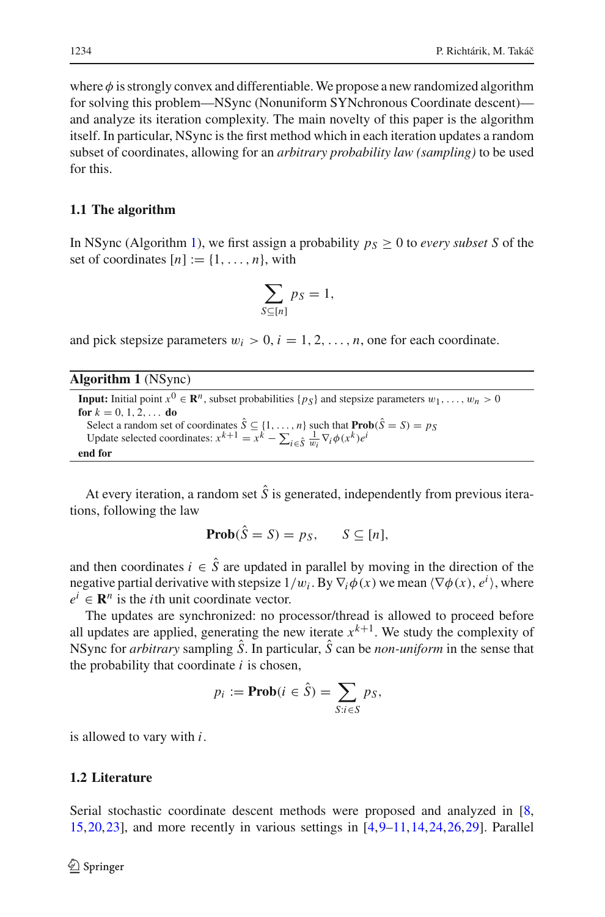where  $\phi$  is strongly convex and differentiable. We propose a new randomized algorithm for solving this problem—NSync (Nonuniform SYNchronous Coordinate descent) and analyze its iteration complexity. The main novelty of this paper is the algorithm itself. In particular, NSync is the first method which in each iteration updates a random subset of coordinates, allowing for an *arbitrary probability law (sampling)* to be used for this.

### **1.1 The algorithm**

In NSync (Algorithm [1\)](#page-1-0), we first assign a probability  $p_S \geq 0$  to *every subset S* of the set of coordinates  $[n] := \{1, \ldots, n\}$ , with

$$
\sum_{S \subseteq [n]} p_S = 1,
$$

and pick stepsize parameters  $w_i > 0$ ,  $i = 1, 2, ..., n$ , one for each coordinate.

<span id="page-1-0"></span>

| <b>Algorithm 1</b> (NSync) |  |  |
|----------------------------|--|--|
|----------------------------|--|--|

```
Input: Initial point x^0 \in \mathbb{R}^n, subset probabilities \{p_S\} and stepsize parameters w_1, \ldots, w_n > 0for k = 0, 1, 2, \ldots do
Select a random set of coordinates S \subseteq \{1, ..., n\} such that \text{Prob}(S = S) = p_S<br>Update selected coordinates: x^{k+1} = x^k - \sum_{i \in \hat{S}} \frac{1}{w_i} \nabla_i \phi(x^k) e^iend for
```
At every iteration, a random set  $\hat{S}$  is generated, independently from previous iterations, following the law

$$
Prob(\hat{S} = S) = p_S, \qquad S \subseteq [n],
$$

and then coordinates  $i \in \hat{S}$  are updated in parallel by moving in the direction of the negative partial derivative with stepsize  $1/w_i$ . By  $\nabla_i \phi(x)$  we mean  $\langle \nabla \phi(x), e^i \rangle$ , where  $e^{i} \in \mathbb{R}^{n}$  is the *i*th unit coordinate vector.

The updates are synchronized: no processor/thread is allowed to proceed before all updates are applied, generating the new iterate  $x^{k+1}$ . We study the complexity of NSync for *arbitrary* sampling *S*ˆ. In particular, *S*ˆ can be *non-uniform* in the sense that the probability that coordinate *i* is chosen,

$$
p_i := \mathbf{Prob}(i \in \hat{S}) = \sum_{S:i \in S} p_S,
$$

is allowed to vary with *i*.

# **1.2 Literature**

Serial stochastic coordinate descent methods were proposed and analyzed in [\[8,](#page-10-0) [15,](#page-10-1)[20](#page-10-2)[,23](#page-10-3)], and more recently in various settings in  $[4,9-11,14,24,26,29]$  $[4,9-11,14,24,26,29]$  $[4,9-11,14,24,26,29]$  $[4,9-11,14,24,26,29]$  $[4,9-11,14,24,26,29]$  $[4,9-11,14,24,26,29]$  $[4,9-11,14,24,26,29]$  $[4,9-11,14,24,26,29]$  $[4,9-11,14,24,26,29]$ . Parallel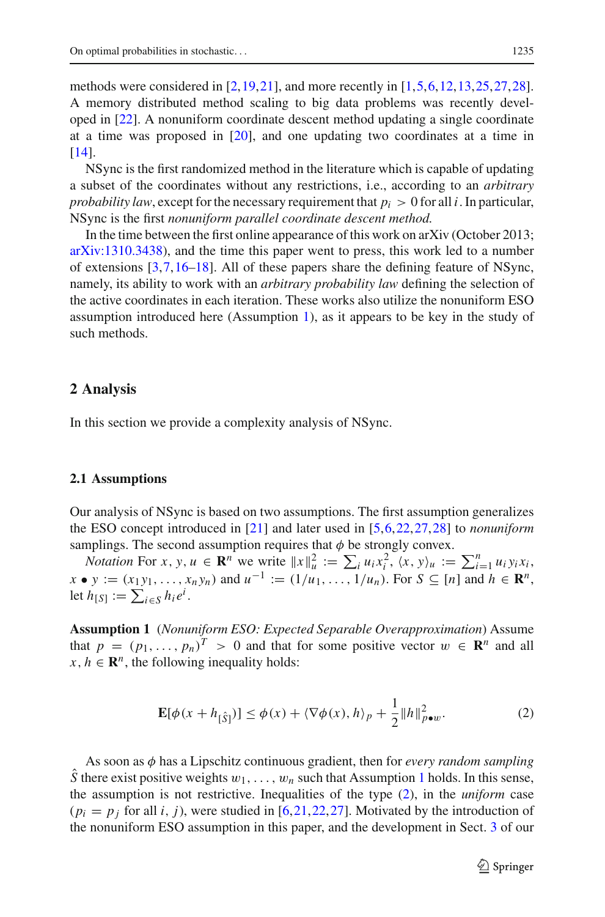methods were considered in  $[2,19,21]$  $[2,19,21]$  $[2,19,21]$ , and more recently in  $[1,5,6,12,13,25,27,28]$  $[1,5,6,12,13,25,27,28]$  $[1,5,6,12,13,25,27,28]$  $[1,5,6,12,13,25,27,28]$  $[1,5,6,12,13,25,27,28]$  $[1,5,6,12,13,25,27,28]$  $[1,5,6,12,13,25,27,28]$  $[1,5,6,12,13,25,27,28]$  $[1,5,6,12,13,25,27,28]$  $[1,5,6,12,13,25,27,28]$ . A memory distributed method scaling to big data problems was recently developed in [\[22\]](#page-10-20). A nonuniform coordinate descent method updating a single coordinate at a time was proposed in [\[20](#page-10-2)], and one updating two coordinates at a time in [\[14](#page-10-7)].

NSync is the first randomized method in the literature which is capable of updating a subset of the coordinates without any restrictions, i.e., according to an *arbitrary probability law*, except for the necessary requirement that  $p_i > 0$  for all *i*. In particular, NSync is the first *nonuniform parallel coordinate descent method.*

In the time between the first online appearance of this work on arXiv (October 2013; [arXiv:1310.3438\)](http://arxiv.org/abs/1310.3438), and the time this paper went to press, this work led to a number of extensions [\[3,](#page-9-2)[7](#page-10-21)[,16](#page-10-22)[–18\]](#page-10-23). All of these papers share the defining feature of NSync, namely, its ability to work with an *arbitrary probability law* defining the selection of the active coordinates in each iteration. These works also utilize the nonuniform ESO assumption introduced here (Assumption [1\)](#page-2-0), as it appears to be key in the study of such methods.

#### **2 Analysis**

In this section we provide a complexity analysis of NSync.

#### **2.1 Assumptions**

Our analysis of NSync is based on two assumptions. The first assumption generalizes the ESO concept introduced in [\[21\]](#page-10-12) and later used in [\[5](#page-10-13),[6,](#page-10-14)[22](#page-10-20)[,27](#page-10-18)[,28](#page-10-19)] to *nonuniform* samplings. The second assumption requires that  $\phi$  be strongly convex.

*Notation* For *x*, *y*,  $u \in \mathbb{R}^n$  we write  $||x||_u^2 := \sum_i u_i x_i^2$ ,  $\langle x, y \rangle_u := \sum_{i=1}^n u_i y_i x_i$ , *x*  $\bullet$  *y* := (*x*<sub>1</sub>*y*<sub>1</sub>, ..., *x<sub>n</sub>y<sub>n</sub>*) and  $u^{-1}$  := (1/*u*<sub>1</sub>, ..., 1/*u<sub>n</sub>*). For *S* ⊆ [*n*] and  $h \in \mathbb{R}^n$ , let  $h_{[S]} := \sum_{i \in S} h_i e^i$ .

<span id="page-2-0"></span>**Assumption 1** (*Nonuniform ESO: Expected Separable Overapproximation*) Assume that  $p = (p_1, \ldots, p_n)^T > 0$  and that for some positive vector  $w \in \mathbb{R}^n$  and all  $x, h \in \mathbb{R}^n$ , the following inequality holds:

$$
\mathbf{E}[\phi(x+h_{[\hat{S}]})] \le \phi(x) + \langle \nabla \phi(x), h \rangle_p + \frac{1}{2} ||h||_{p\bullet w}^2.
$$
 (2)

<span id="page-2-1"></span>As soon as φ has a Lipschitz continuous gradient, then for *every random sampling*  $\hat{S}$  there exist positive weights  $w_1, \ldots, w_n$  $w_1, \ldots, w_n$  $w_1, \ldots, w_n$  such that Assumption 1 holds. In this sense, the assumption is not restrictive. Inequalities of the type [\(2\)](#page-2-1), in the *uniform* case  $(p_i = p_j$  for all *i*, *j*), were studied in [\[6](#page-10-14),[21,](#page-10-12)[22](#page-10-20)[,27](#page-10-18)]. Motivated by the introduction of the nonuniform ESO assumption in this paper, and the development in Sect. [3](#page-5-0) of our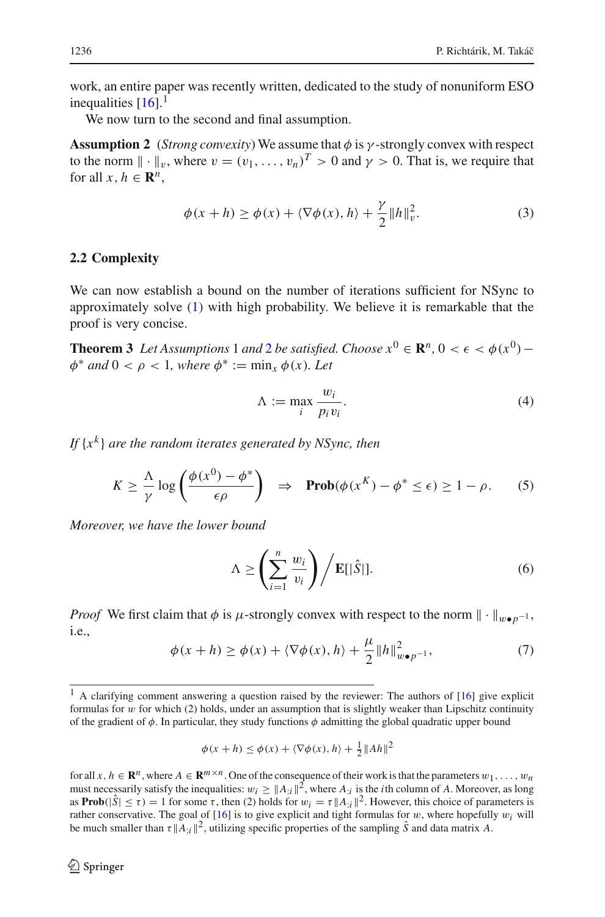work, an entire paper was recently written, dedicated to the study of nonuniform ESO inequalities  $[16]$  $[16]$ .<sup>[1](#page-3-0)</sup>

We now turn to the second and final assumption.

**Assumption 2** (*Strong convexity*) We assume that  $\phi$  is  $\gamma$ -strongly convex with respect to the norm  $\|\cdot\|_{v}$ , where  $v = (v_1, \ldots, v_n)^T > 0$  and  $\gamma > 0$ . That is, we require that for all  $x, h \in \mathbb{R}^n$ ,

<span id="page-3-1"></span>
$$
\phi(x+h) \ge \phi(x) + \langle \nabla \phi(x), h \rangle + \frac{\gamma}{2} ||h||_v^2.
$$
 (3)

#### <span id="page-3-2"></span>**2.2 Complexity**

We can now establish a bound on the number of iterations sufficient for NSync to approximately solve [\(1\)](#page-0-0) with high probability. We believe it is remarkable that the proof is very concise.

<span id="page-3-5"></span>**Theorem 3** *Let Assumptions* [1](#page-2-0) *and* [2](#page-3-1) *be satisfied. Choose*  $x^0 \in \mathbb{R}^n$ ,  $0 < \epsilon < \phi(x^0)$  −  $\phi^*$  *and*  $0 < \rho < 1$ *, where*  $\phi^* := \min_x \phi(x)$ *. Let* 

$$
\Lambda := \max_{i} \frac{w_i}{p_i v_i}.\tag{4}
$$

*If* {*x<sup>k</sup>* } *are the random iterates generated by NSync, then*

<span id="page-3-4"></span>
$$
K \geq \frac{\Lambda}{\gamma} \log \left( \frac{\phi(x^0) - \phi^*}{\epsilon \rho} \right) \quad \Rightarrow \quad \mathbf{Prob}(\phi(x^K) - \phi^* \leq \epsilon) \geq 1 - \rho. \tag{5}
$$

<span id="page-3-6"></span>*Moreover, we have the lower bound*

$$
\Lambda \ge \left(\sum_{i=1}^{n} \frac{w_i}{v_i}\right) / \mathbf{E}[|\hat{S}|]. \tag{6}
$$

<span id="page-3-3"></span>*Proof* We first claim that  $\phi$  is  $\mu$ -strongly convex with respect to the norm  $\|\cdot\|_{w\bullet p^{-1}}$ , i.e.,

$$
\phi(x+h) \ge \phi(x) + \langle \nabla \phi(x), h \rangle + \frac{\mu}{2} ||h||_{w \bullet p^{-1}}^2,
$$
\n(7)

$$
\phi(x+h) \le \phi(x) + \langle \nabla \phi(x), h \rangle + \frac{1}{2} ||Ah||^2
$$

for all  $x, h \in \mathbb{R}^n$ , where  $A \in \mathbb{R}^{m \times n}$ . One of the consequence of their work is that the parameters  $w_1, \ldots, w_n$ must necessarily satisfy the inequalities:  $w_i \ge ||A_{i}||^2$ , where  $A_{i}$  is the *i*th column of *A*. Moreover, as long as **Prob** $(|\hat{S}| \le \tau) = 1$  for some  $\tau$ , then [\(2\)](#page-2-1) holds for  $w_i = \tau ||A_{i}||^2$ . However, this choice of parameters is rather conservative. The goal of  $[16]$  $[16]$  is to give explicit and tight formulas for w, where hopefully  $w_i$  will be much smaller than  $\tau \parallel A_{\cdot i} \parallel^2$ , utilizing specific properties of the sampling  $\hat{S}$  and data matrix *A*.

<span id="page-3-0"></span> $1$  A clarifying comment answering a question raised by the reviewer: The authors of  $[16]$  give explicit formulas for w for which  $(2)$  holds, under an assumption that is slightly weaker than Lipschitz continuity of the gradient of  $\phi$ . In particular, they study functions  $\phi$  admitting the global quadratic upper bound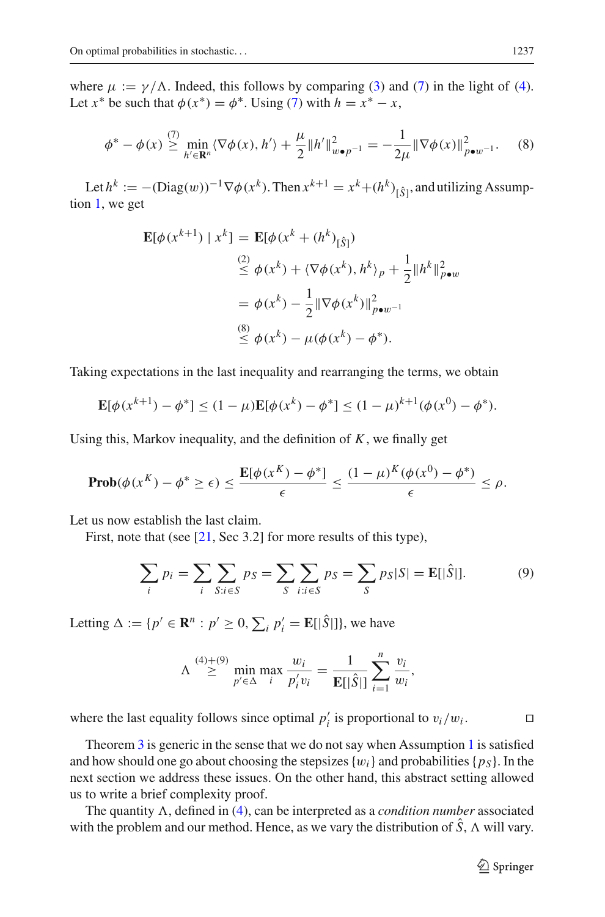where  $\mu := \gamma/\Lambda$ . Indeed, this follows by comparing [\(3\)](#page-3-2) and [\(7\)](#page-3-3) in the light of [\(4\)](#page-3-4). Let  $x^*$  be such that  $\phi(x^*) = \phi^*$ . Using [\(7\)](#page-3-3) with  $h = x^* - x$ ,

$$
\phi^* - \phi(x) \stackrel{(7)}{\geq} \min_{h' \in \mathbf{R}^n} \langle \nabla \phi(x), h' \rangle + \frac{\mu}{2} \|h'\|_{w \bullet p^{-1}}^2 = -\frac{1}{2\mu} \|\nabla \phi(x)\|_{p \bullet w^{-1}}^2. \tag{8}
$$

Let  $h^k := -(\text{Diag}(w))^{-1} \nabla \phi(x^k)$ . Then  $x^{k+1} = x^k + (h^k)_{[\hat{S}]}$ , and utilizing Assumption [1,](#page-2-0) we get

$$
\mathbf{E}[\phi(x^{k+1}) | x^k] = \mathbf{E}[\phi(x^k + (h^k)_{[\hat{S}]})
$$
  
\n
$$
\stackrel{(2)}{\leq} \phi(x^k) + \langle \nabla \phi(x^k), h^k \rangle_p + \frac{1}{2} ||h^k||_{p \bullet w}^2
$$
  
\n
$$
= \phi(x^k) - \frac{1}{2} ||\nabla \phi(x^k)||_{p \bullet w^{-1}}^2
$$
  
\n
$$
\stackrel{(8)}{\leq} \phi(x^k) - \mu(\phi(x^k) - \phi^*).
$$

Taking expectations in the last inequality and rearranging the terms, we obtain

$$
\mathbf{E}[\phi(x^{k+1}) - \phi^*] \le (1 - \mu)\mathbf{E}[\phi(x^k) - \phi^*] \le (1 - \mu)^{k+1}(\phi(x^0) - \phi^*).
$$

Using this, Markov inequality, and the definition of *K*, we finally get

$$
\mathbf{Prob}(\phi(x^K) - \phi^* \ge \epsilon) \le \frac{\mathbf{E}[\phi(x^K) - \phi^*]}{\epsilon} \le \frac{(1 - \mu)^K (\phi(x^0) - \phi^*)}{\epsilon} \le \rho.
$$

Let us now establish the last claim.

First, note that (see [\[21](#page-10-12), Sec 3.2] for more results of this type),

$$
\sum_{i} p_i = \sum_{i} \sum_{S:i \in S} p_S = \sum_{S} \sum_{i:i \in S} p_S = \sum_{S} p_S |S| = \mathbf{E}[|\hat{S}|]. \tag{9}
$$

Letting  $\Delta := \{p' \in \mathbb{R}^n : p' \ge 0, \sum_i p'_i = \mathbb{E}[\hat{S}]\},\}$  we have

$$
\Lambda \stackrel{(4)+(9)}{\geq} \min_{p' \in \Delta} \max_{i} \frac{w_i}{p'_i v_i} = \frac{1}{\mathbf{E}[|\hat{S}|]} \sum_{i=1}^n \frac{v_i}{w_i},
$$

where the last equality follows since optimal  $p'_i$  is proportional to  $v_i/w_i$ .

Theorem [3](#page-3-5) is generic in the sense that we do not say when Assumption [1](#page-2-0) is satisfied and how should one go about choosing the stepsizes  ${w_i}$  and probabilities  ${p_S}$ . In the next section we address these issues. On the other hand, this abstract setting allowed us to write a brief complexity proof.

The quantity  $\Lambda$ , defined in [\(4\)](#page-3-4), can be interpreted as a *condition number* associated with the problem and our method. Hence, as we vary the distribution of  $\hat{S}$ ,  $\Lambda$  will vary.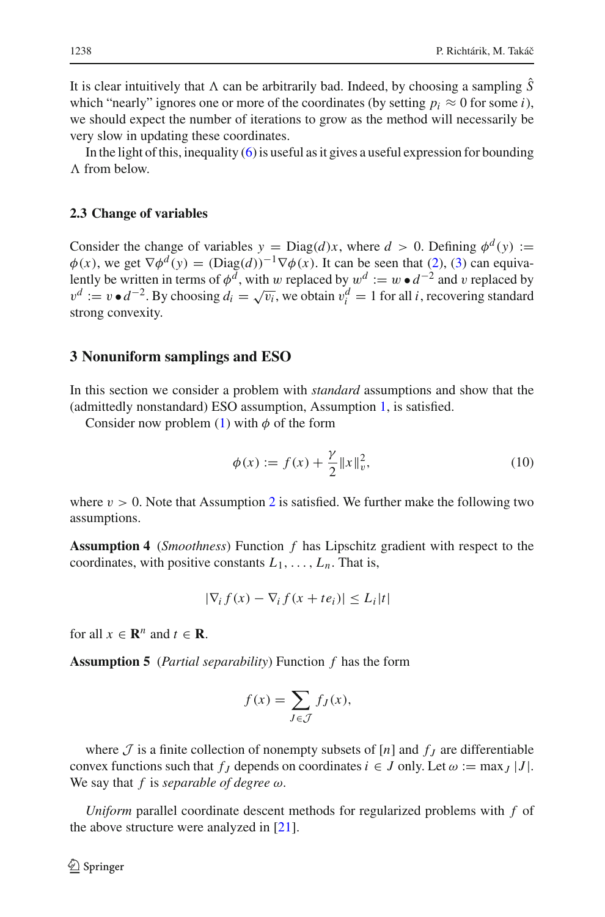It is clear intuitively that  $\Lambda$  can be arbitrarily bad. Indeed, by choosing a sampling  $\hat{S}$ which "nearly" ignores one or more of the coordinates (by setting  $p_i \approx 0$  for some *i*), we should expect the number of iterations to grow as the method will necessarily be very slow in updating these coordinates.

In the light of this, inequality  $(6)$  is useful as it gives a useful expression for bounding  $\Lambda$  from below.

#### **2.3 Change of variables**

Consider the change of variables  $y = Diag(d)x$ , where  $d > 0$ . Defining  $\phi^d(y) :=$  $\phi(x)$ , we get  $\nabla \phi^d(y) = (\text{Diag}(d))^{-1} \nabla \phi(x)$ . It can be seen that [\(2\)](#page-2-1), [\(3\)](#page-3-2) can equivalently be written in terms of  $\phi^{\bar{d}}$ , with w replaced by  $w^d := w \cdot d^{-2}$  and v replaced by  $v^d := v \cdot d^{-2}$ . By choosing  $d_i = \sqrt{v_i}$ , we obtain  $v_i^d = 1$  for all *i*, recovering standard strong convexity.

#### <span id="page-5-0"></span>**3 Nonuniform samplings and ESO**

In this section we consider a problem with *standard* assumptions and show that the (admittedly nonstandard) ESO assumption, Assumption [1,](#page-2-0) is satisfied.

<span id="page-5-3"></span>Consider now problem [\(1\)](#page-0-0) with  $\phi$  of the form

$$
\phi(x) := f(x) + \frac{\gamma}{2} \|x\|_v^2,
$$
\n(10)

<span id="page-5-1"></span>where  $v > 0$ . Note that Assumption [2](#page-3-1) is satisfied. We further make the following two assumptions.

**Assumption 4** (*Smoothness*) Function *f* has Lipschitz gradient with respect to the coordinates, with positive constants  $L_1, \ldots, L_n$ . That is,

$$
|\nabla_i f(x) - \nabla_i f(x + te_i)| \le L_i |t|
$$

<span id="page-5-2"></span>for all  $x \in \mathbb{R}^n$  and  $t \in \mathbb{R}$ .

**Assumption 5** (*Partial separability*) Function *f* has the form

$$
f(x) = \sum_{J \in \mathcal{J}} f_J(x),
$$

where  $\mathcal J$  is a finite collection of nonempty subsets of  $[n]$  and  $f_j$  are differentiable convex functions such that  $f_J$  depends on coordinates  $i \in J$  only. Let  $\omega := \max_J |J|$ . We say that *f* is *separable of degree* ω.

<span id="page-5-4"></span>*Uniform* parallel coordinate descent methods for regularized problems with *f* of the above structure were analyzed in [\[21](#page-10-12)].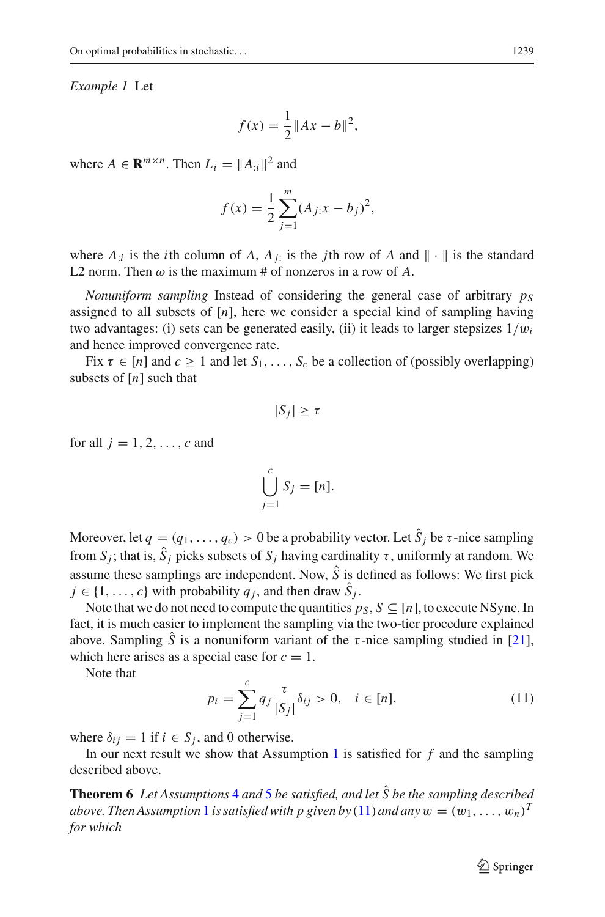#### *Example 1* Let

$$
f(x) = \frac{1}{2} ||Ax - b||^2,
$$

where  $A \in \mathbb{R}^{m \times n}$ . Then  $L_i = ||A_{\cdot i}||^2$  and

$$
f(x) = \frac{1}{2} \sum_{j=1}^{m} (A_{j}:x - b_j)^2,
$$

where  $A_{i}$  is the *i*th column of  $A$ ,  $A_{i}$  is the *j*th row of  $A$  and  $\|\cdot\|$  is the standard L2 norm. Then  $\omega$  is the maximum # of nonzeros in a row of A.

*Nonuniform sampling* Instead of considering the general case of arbitrary  $p<sub>S</sub>$ assigned to all subsets of  $[n]$ , here we consider a special kind of sampling having two advantages: (i) sets can be generated easily, (ii) it leads to larger stepsizes 1/w*i* and hence improved convergence rate.

Fix  $\tau \in [n]$  and  $c > 1$  and let  $S_1, \ldots, S_c$  be a collection of (possibly overlapping) subsets of [*n*] such that

$$
|S_j| \geq \tau
$$

for all  $j = 1, 2, \ldots, c$  and

$$
\bigcup_{j=1}^{c} S_j = [n].
$$

Moreover, let  $q = (q_1, \ldots, q_c) > 0$  be a probability vector. Let  $\hat{S}_i$  be  $\tau$ -nice sampling from  $S_i$ ; that is,  $\hat{S}_i$  picks subsets of  $S_i$  having cardinality  $\tau$ , uniformly at random. We assume these samplings are independent. Now,  $\hat{S}$  is defined as follows: We first pick  $j \in \{1, \ldots, c\}$  with probability  $q_j$ , and then draw  $\hat{S}_j$ .

Note that we do not need to compute the quantities  $p_S$ ,  $S \subseteq [n]$ , to execute NSync. In fact, it is much easier to implement the sampling via the two-tier procedure explained above. Sampling *S* is a nonuniform variant of the  $\tau$ -nice sampling studied in [\[21](#page-10-12)], which here arises as a special case for  $c = 1$ .

<span id="page-6-0"></span>Note that

$$
p_i = \sum_{j=1}^{c} q_j \frac{\tau}{|S_j|} \delta_{ij} > 0, \quad i \in [n],
$$
 (11)

where  $\delta_{ij} = 1$  if  $i \in S_j$ , and 0 otherwise.

In our next result we show that Assumption  $1$  is satisfied for  $f$  and the sampling described above.

**Theorem 6** *Let Assumptions* [4](#page-5-1) *and* [5](#page-5-2) *be satisfied, and let S be the sampling described* ˆ *above. Then Assumption* [1](#page-2-0) *is satisfied with p given by* [\(11\)](#page-6-0) *and any*  $w = (w_1, \ldots, w_n)^T$ *for which*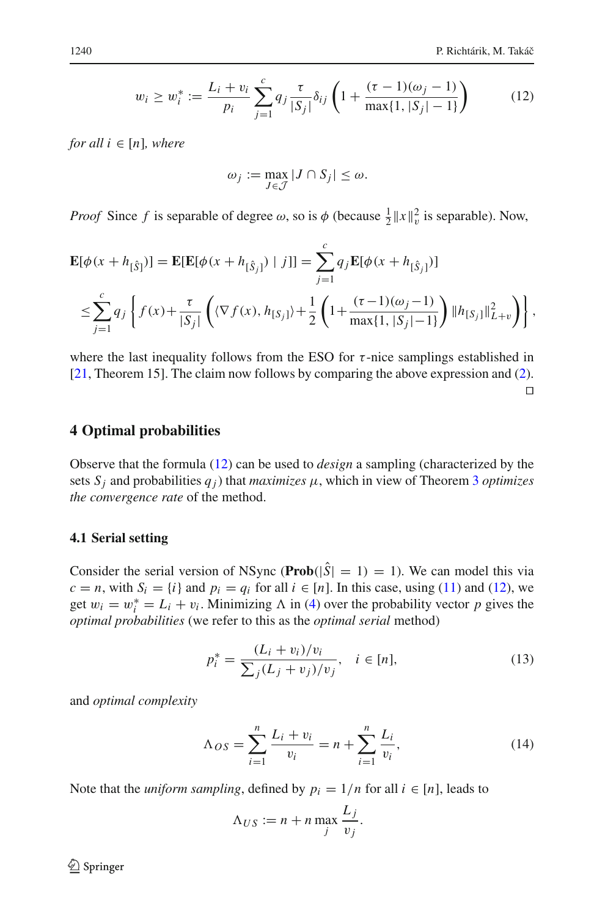$$
w_i \ge w_i^* := \frac{L_i + v_i}{p_i} \sum_{j=1}^c q_j \frac{\tau}{|S_j|} \delta_{ij} \left( 1 + \frac{(\tau - 1)(\omega_j - 1)}{\max\{1, |S_j| - 1\}} \right) \tag{12}
$$

<span id="page-7-0"></span>*for all*  $i \in [n]$ *, where* 

$$
\omega_j := \max_{J \in \mathcal{J}} |J \cap S_j| \le \omega.
$$

*Proof* Since *f* is separable of degree  $\omega$ , so is  $\phi$  (because  $\frac{1}{2} ||x||_v^2$  is separable). Now,

$$
\mathbf{E}[\phi(x+h_{[\hat{S}]})] = \mathbf{E}[\mathbf{E}[\phi(x+h_{[\hat{S}_j]}) | j]] = \sum_{j=1}^{c} q_j \mathbf{E}[\phi(x+h_{[\hat{S}_j]})]
$$
  

$$
\leq \sum_{j=1}^{c} q_j \left\{ f(x) + \frac{\tau}{|S_j|} \left( \langle \nabla f(x), h_{[S_j]}\rangle + \frac{1}{2} \left( 1 + \frac{(\tau - 1)(\omega_j - 1)}{\max\{1, |S_j| - 1\}} \right) \|h_{[S_j]} \|_{L+v}^2 \right) \right\},
$$

where the last inequality follows from the ESO for  $\tau$ -nice samplings established in [\[21](#page-10-12), Theorem 15]. The claim now follows by comparing the above expression and [\(2\)](#page-2-1).

## $\Box$

#### **4 Optimal probabilities**

Observe that the formula [\(12\)](#page-7-0) can be used to *design* a sampling (characterized by the sets  $S_i$  and probabilities  $q_i$ ) that *maximizes*  $\mu$ , which in view of Theorem [3](#page-3-5) *optimizes the convergence rate* of the method.

#### **4.1 Serial setting**

Consider the serial version of NSync (**Prob**( $|\hat{S}| = 1$ ) = 1). We can model this via  $c = n$ , with  $S_i = \{i\}$  and  $p_i = q_i$  for all  $i \in [n]$ . In this case, using [\(11\)](#page-6-0) and [\(12\)](#page-7-0), we get  $w_i = w_i^* = L_i + v_i$ . Minimizing  $\Lambda$  in [\(4\)](#page-3-4) over the probability vector *p* gives the *optimal probabilities* (we refer to this as the *optimal serial* method)

$$
p_i^* = \frac{(L_i + v_i)/v_i}{\sum_j (L_j + v_j)/v_j}, \quad i \in [n],
$$
\n(13)

<span id="page-7-1"></span>and *optimal complexity*

$$
\Lambda_{OS} = \sum_{i=1}^{n} \frac{L_i + v_i}{v_i} = n + \sum_{i=1}^{n} \frac{L_i}{v_i},
$$
\n(14)

Note that the *uniform sampling*, defined by  $p_i = 1/n$  for all  $i \in [n]$ , leads to

$$
\Lambda_{US} := n + n \max_j \frac{L_j}{v_j}.
$$

 $\circled{2}$  Springer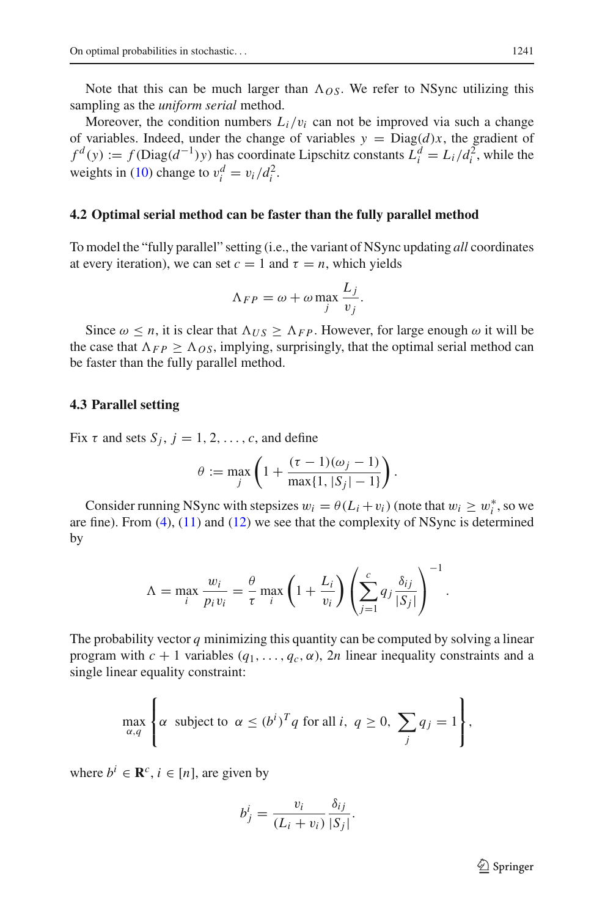Note that this can be much larger than  $\Lambda_{OS}$ . We refer to NSync utilizing this sampling as the *uniform serial* method.

Moreover, the condition numbers  $L_i/v_i$  can not be improved via such a change of variables. Indeed, under the change of variables  $y = Diag(d)x$ , the gradient of  $f^d(y) := f(\text{Diag}(d^{-1})y)$  has coordinate Lipschitz constants  $L_i^d = L_i/d_i^2$ , while the weights in [\(10\)](#page-5-3) change to  $v_i^d = v_i / d_i^2$ .

## **4.2 Optimal serial method can be faster than the fully parallel method**

To model the "fully parallel" setting (i.e., the variant of NSync updating *all* coordinates at every iteration), we can set  $c = 1$  and  $\tau = n$ , which yields

$$
\Lambda_{FP} = \omega + \omega \max_{j} \frac{L_j}{v_j}.
$$

Since  $\omega \leq n$ , it is clear that  $\Lambda_{US} \geq \Lambda_{FP}$ . However, for large enough  $\omega$  it will be the case that  $\Lambda_{FP} \geq \Lambda_{OS}$ , implying, surprisingly, that the optimal serial method can be faster than the fully parallel method.

#### **4.3 Parallel setting**

Fix  $\tau$  and sets  $S_i$ ,  $j = 1, 2, \ldots, c$ , and define

$$
\theta := \max_{j} \left( 1 + \frac{(\tau - 1)(\omega_j - 1)}{\max\{1, |S_j| - 1\}} \right).
$$

Consider running NSync with stepsizes  $w_i = \theta(L_i + v_i)$  (note that  $w_i \geq w_i^*$ , so we are fine). From  $(4)$ ,  $(11)$  and  $(12)$  we see that the complexity of NSync is determined by

$$
\Lambda = \max_{i} \frac{w_i}{p_i v_i} = \frac{\theta}{\tau} \max_{i} \left( 1 + \frac{L_i}{v_i} \right) \left( \sum_{j=1}^{c} q_j \frac{\delta_{ij}}{|S_j|} \right)^{-1}.
$$

The probability vector  $q$  minimizing this quantity can be computed by solving a linear program with  $c + 1$  variables  $(q_1, \ldots, q_c, \alpha)$ , 2*n* linear inequality constraints and a single linear equality constraint:

$$
\max_{\alpha,q} \left\{ \alpha \text{ subject to } \alpha \le (b^i)^T q \text{ for all } i, q \ge 0, \sum_j q_j = 1 \right\},\
$$

where  $b^i \in \mathbb{R}^c$ ,  $i \in [n]$ , are given by

$$
b_j^i = \frac{v_i}{(L_i + v_i)} \frac{\delta_{ij}}{|S_j|}.
$$

 $\mathcal{L}$  Springer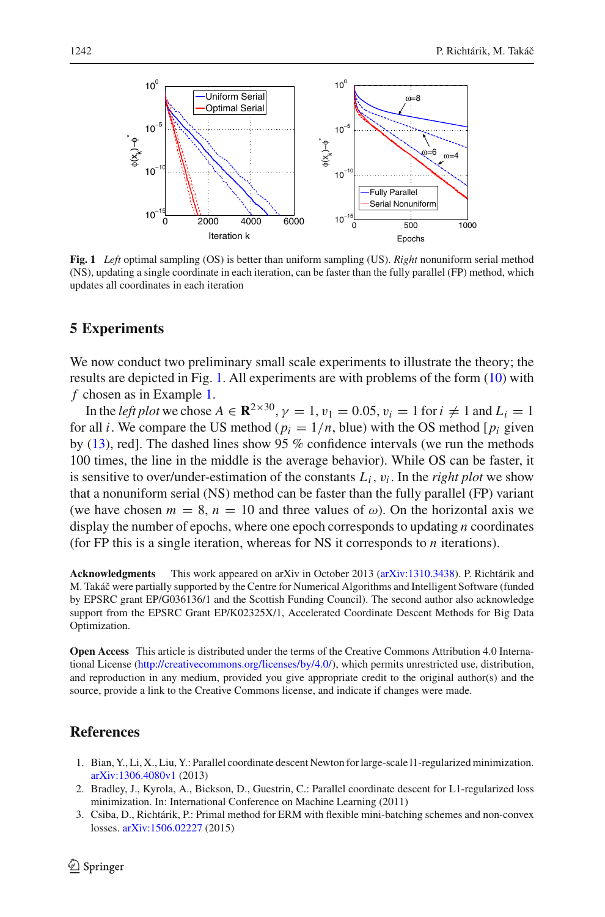

<span id="page-9-3"></span>**Fig. 1** *Left* optimal sampling (OS) is better than uniform sampling (US). *Right* nonuniform serial method (NS), updating a single coordinate in each iteration, can be faster than the fully parallel (FP) method, which updates all coordinates in each iteration

# **5 Experiments**

We now conduct two preliminary small scale experiments to illustrate the theory; the results are depicted in Fig. [1.](#page-9-3) All experiments are with problems of the form [\(10\)](#page-5-3) with *f* chosen as in Example [1.](#page-5-4)

In the *left plot* we chose  $A \in \mathbb{R}^{2 \times 30}$ ,  $\gamma = 1$ ,  $v_1 = 0.05$ ,  $v_i = 1$  for  $i \neq 1$  and  $L_i = 1$ for all *i*. We compare the US method ( $p_i = 1/n$ , blue) with the OS method [ $p_i$  given by [\(13\)](#page-7-1), red]. The dashed lines show 95 % confidence intervals (we run the methods 100 times, the line in the middle is the average behavior). While OS can be faster, it is sensitive to over/under-estimation of the constants  $L_i$ ,  $v_i$ . In the *right plot* we show that a nonuniform serial (NS) method can be faster than the fully parallel (FP) variant (we have chosen  $m = 8$ ,  $n = 10$  and three values of  $\omega$ ). On the horizontal axis we display the number of epochs, where one epoch corresponds to updating *n* coordinates (for FP this is a single iteration, whereas for NS it corresponds to *n* iterations).

**Acknowledgments** This work appeared on arXiv in October 2013 [\(arXiv:1310.3438\)](http://arxiv.org/abs/1310.3438). P. Richtárik and M. Takáˇc were partially supported by the Centre for Numerical Algorithms and Intelligent Software (funded by EPSRC grant EP/G036136/1 and the Scottish Funding Council). The second author also acknowledge support from the EPSRC Grant EP/K02325X/1, Accelerated Coordinate Descent Methods for Big Data Optimization.

**Open Access** This article is distributed under the terms of the Creative Commons Attribution 4.0 International License [\(http://creativecommons.org/licenses/by/4.0/\)](http://creativecommons.org/licenses/by/4.0/), which permits unrestricted use, distribution, and reproduction in any medium, provided you give appropriate credit to the original author(s) and the source, provide a link to the Creative Commons license, and indicate if changes were made.

# <span id="page-9-1"></span>**References**

- 1. Bian, Y., Li, X., Liu, Y.: Parallel coordinate descent Newton for large-scale l1-regularized minimization. [arXiv:1306.4080v1](http://arxiv.org/abs/1306.4080v1) (2013)
- <span id="page-9-0"></span>2. Bradley, J., Kyrola, A., Bickson, D., Guestrin, C.: Parallel coordinate descent for L1-regularized loss minimization. In: International Conference on Machine Learning (2011)
- <span id="page-9-2"></span>3. Csiba, D., Richtárik, P.: Primal method for ERM with flexible mini-batching schemes and non-convex losses. [arXiv:1506.02227](http://arxiv.org/abs/1506.02227) (2015)